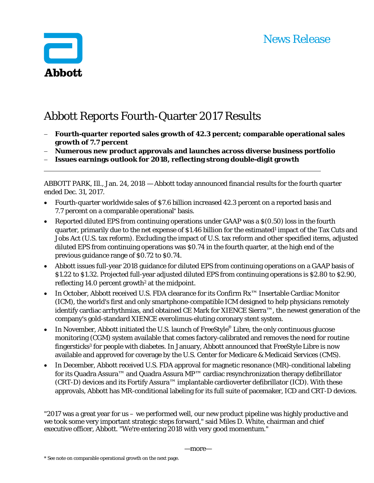

# Abbott Reports Fourth-Quarter 2017 Results

- **Fourth-quarter reported sales growth of 42.3 percent; comparable operational sales growth of 7.7 percent**
- **Numerous new product approvals and launches across diverse business portfolio**
- **Issues earnings outlook for 2018, reflecting strong double-digit growth**

ABBOTT PARK, Ill., Jan. 24, 2018 — Abbott today announced financial results for the fourth quarter ended Dec. 31, 2017.

- Fourth-quarter worldwide sales of \$7.6 billion increased 42.3 percent on a reported basis and 7.7 percent on a comparable operational\* basis.
- Reported diluted EPS from continuing operations under GAAP was a \$(0.50) loss in the fourth quarter, primarily due to the net expense of \$1.46 billion for the estimated<sup>1</sup> impact of the Tax Cuts and Jobs Act (U.S. tax reform). Excluding the impact of U.S. tax reform and other specified items, adjusted diluted EPS from continuing operations was \$0.74 in the fourth quarter, at the high end of the previous guidance range of \$0.72 to \$0.74.
- Abbott issues full-year 2018 guidance for diluted EPS from continuing operations on a GAAP basis of \$1.22 to \$1.32. Projected full-year adjusted diluted EPS from continuing operations is \$2.80 to \$2.90, reflecting  $14.0$  percent growth<sup>2</sup> at the midpoint.
- In October, Abbott received U.S. FDA clearance for its Confirm Rx™ Insertable Cardiac Monitor (ICM), the world's first and only smartphone-compatible ICM designed to help physicians remotely identify cardiac arrhythmias, and obtained CE Mark for XIENCE Sierra™, the newest generation of the company's gold-standard XIENCE everolimus-eluting coronary stent system.
- In November, Abbott initiated the U.S. launch of FreeStyle<sup>®</sup> Libre, the only continuous glucose monitoring (CGM) system available that comes factory-calibrated and removes the need for routine fingersticks3 for people with diabetes. In January, Abbott announced that FreeStyle Libre is now available and approved for coverage by the U.S. Center for Medicare & Medicaid Services (CMS).
- In December, Abbott received U.S. FDA approval for magnetic resonance (MR)-conditional labeling for its Quadra Assura™ and Quadra Assura MP™ cardiac resynchronization therapy defibrillator (CRT-D) devices and its Fortify Assura™ implantable cardioverter defibrillator (ICD). With these approvals, Abbott has MR-conditional labeling for its full suite of pacemaker, ICD and CRT-D devices.

"2017 was a great year for us – we performed well, our new product pipeline was highly productive and we took some very important strategic steps forward," said Miles D. White, chairman and chief executive officer, Abbott. "We're entering 2018 with very good momentum."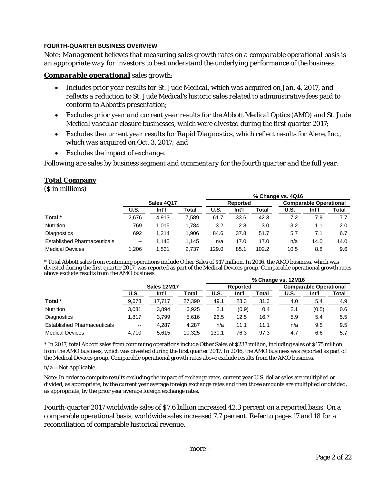## **FOURTH‐QUARTER BUSINESS OVERVIEW**

*Note: Management believes that measuring sales growth rates on a comparable operational basis is an appropriate way for investors to best understand the underlying performance of the business.* 

## *Comparable operational sales growth:*

- *Includes prior year results for St. Jude Medical, which was acquired on Jan. 4, 2017, and reflects a reduction to St. Jude Medical's historic sales related to administrative fees paid to conform to Abbott's presentation;*
- *Excludes prior year and current year results for the Abbott Medical Optics (AMO) and St. Jude Medical vascular closure businesses, which were divested during the first quarter 2017;*
- *Excludes the current year results for Rapid Diagnostics, which reflect results for Alere, Inc., which was acquired on Oct. 3, 2017; and*
- *Excludes the impact of exchange.*

*Following are sales by business segment and commentary for the fourth quarter and the full year:* 

## **Total Company**

(\$ in millions)

|                                    |                          |       |       | % Change vs. 4Q16 |                 |       |             |                               |       |  |  |
|------------------------------------|--------------------------|-------|-------|-------------------|-----------------|-------|-------------|-------------------------------|-------|--|--|
|                                    | <b>Sales 4017</b>        |       |       |                   | <b>Reported</b> |       |             | <b>Comparable Operational</b> |       |  |  |
|                                    | <b>U.S.</b>              | Int'l | Total | U.S.              | Int'l           | Total | <b>U.S.</b> | Int'l                         | Total |  |  |
| Total *                            | 2,676                    | 4,913 | 7.589 | 61.7              | 33.6            | 42.3  | 7.2         | 7.9                           |       |  |  |
| <b>Nutrition</b>                   | 769                      | 1,015 | 1.784 | 3.2               | 2.8             | 3.0   | 3.2         | 1.1                           | 2.0   |  |  |
| Diagnostics                        | 692                      | 1,214 | 1,906 | 84.6              | 37.8            | 51.7  | 5.7         | 7.1                           | 6.7   |  |  |
| <b>Established Pharmaceuticals</b> | $\overline{\phantom{a}}$ | 1,145 | 1.145 | n/a               | 17.0            | 17.0  | n/a         | 14.0                          | 14.0  |  |  |
| <b>Medical Devices</b>             | 1.206                    | 1.531 | 2,737 | 129.0             | 85.1            | 102.2 | 10.5        | 8.8                           | 9.6   |  |  |

\* Total Abbott sales from continuing operations include Other Sales of \$17 million. In 2016, the AMO business, which was divested during the first quarter 2017, was reported as part of the Medical Devices group. Comparable operational growth rates above exclude results from the AMO business. **% Change vs. 12M16**

|                                    |                          |        |        | 70 GHAIRE VS. LAM TO |          |       |      |                               |       |  |  |
|------------------------------------|--------------------------|--------|--------|----------------------|----------|-------|------|-------------------------------|-------|--|--|
|                                    | Sales 12M17              |        |        |                      | Reported |       |      | <b>Comparable Operational</b> |       |  |  |
|                                    | U.S.                     | Int'l  | Total  | <b>U.S.</b>          | Int'l    | Total | U.S. | Int'l                         | Total |  |  |
| Total *                            | 9,673                    | 17,717 | 27,390 | 49.1                 | 23.3     | 31.3  | 4.0  | 5.4                           | 4.9   |  |  |
| <b>Nutrition</b>                   | 3.031                    | 3,894  | 6.925  | 2.1                  | (0.9)    | 0.4   | 2.1  | (0.5)                         | 0.6   |  |  |
| Diagnostics                        | 1.817                    | 3.799  | 5.616  | 26.5                 | 12.5     | 16.7  | 5.9  | 5.4                           | 5.5   |  |  |
| <b>Established Pharmaceuticals</b> | $\overline{\phantom{a}}$ | 4,287  | 4.287  | n/a                  | 11.1     | 11.1  | n/a  | 9.5                           | 9.5   |  |  |
| <b>Medical Devices</b>             | 4.710                    | 5.615  | 10.325 | 130.1                | 76.3     | 97.3  | 4.7  | 6.6                           | 5.7   |  |  |

\* In 2017, total Abbott sales from continuing operations include Other Sales of \$237 million, including sales of \$175 million from the AMO business, which was divested during the first quarter 2017. In 2016, the AMO business was reported as part of the Medical Devices group. Comparable operational growth rates above exclude results from the AMO business.

#### $n/a = Not$  Applicable.

Note: In order to compute results excluding the impact of exchange rates, current year U.S. dollar sales are multiplied or divided, as appropriate, by the current year average foreign exchange rates and then those amounts are multiplied or divided, as appropriate, by the prior year average foreign exchange rates.

Fourth-quarter 2017 worldwide sales of \$7.6 billion increased 42.3 percent on a reported basis. On a comparable operational basis, worldwide sales increased 7.7 percent. Refer to pages 17 and 18 for a reconciliation of comparable historical revenue.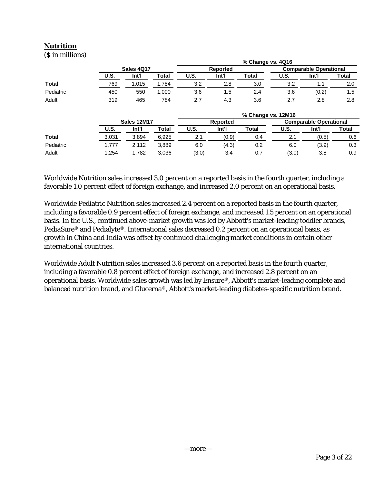# **Nutrition**

(\$ in millions)

|              |             |                    |       |       |                 | % Change vs. 4Q16  |             |                               |       |
|--------------|-------------|--------------------|-------|-------|-----------------|--------------------|-------------|-------------------------------|-------|
|              |             | Sales 4Q17         |       |       | <b>Reported</b> |                    |             | <b>Comparable Operational</b> |       |
|              | <b>U.S.</b> | Int'l              | Total | U.S.  | Int'l           | Total              | <b>U.S.</b> | Int'l                         | Total |
| <b>Total</b> | 769         | 1,015              | 1,784 | 3.2   | 2.8             | 3.0                | 3.2         | 1.1                           | 2.0   |
| Pediatric    | 450         | 550                | 1,000 | 3.6   | 1.5             | 2.4                | 3.6         | (0.2)                         | 1.5   |
| Adult        | 319         | 465                | 784   | 2.7   | 4.3             | 3.6                | 2.7         | 2.8                           | 2.8   |
|              |             |                    |       |       |                 | % Change vs. 12M16 |             |                               |       |
|              |             | <b>Sales 12M17</b> |       |       | Reported        |                    |             | <b>Comparable Operational</b> |       |
|              | U.S.        | Int'l              | Total | U.S.  | Int'l           | <b>Total</b>       | U.S.        | Int'l                         | Total |
| <b>Total</b> | 3,031       | 3,894              | 6,925 | 2.1   | (0.9)           | 0.4                | 2.1         | (0.5)                         | 0.6   |
| Pediatric    | 1,777       | 2.112              | 3,889 | 6.0   | (4.3)           | 0.2                | 6.0         | (3.9)                         | 0.3   |
| Adult        | 1,254       | 1.782              | 3.036 | (3.0) | 3.4             | 0.7                | (3.0)       | 3.8                           | 0.9   |

Worldwide Nutrition sales increased 3.0 percent on a reported basis in the fourth quarter, including a favorable 1.0 percent effect of foreign exchange, and increased 2.0 percent on an operational basis.

Worldwide Pediatric Nutrition sales increased 2.4 percent on a reported basis in the fourth quarter, including a favorable 0.9 percent effect of foreign exchange, and increased 1.5 percent on an operational basis. In the U.S., continued above-market growth was led by Abbott's market-leading toddler brands, PediaSure® and Pedialyte®. International sales decreased 0.2 percent on an operational basis, as growth in China and India was offset by continued challenging market conditions in certain other international countries.

Worldwide Adult Nutrition sales increased 3.6 percent on a reported basis in the fourth quarter, including a favorable 0.8 percent effect of foreign exchange, and increased 2.8 percent on an operational basis. Worldwide sales growth was led by Ensure®, Abbott's market-leading complete and balanced nutrition brand, and Glucerna®, Abbott's market-leading diabetes-specific nutrition brand.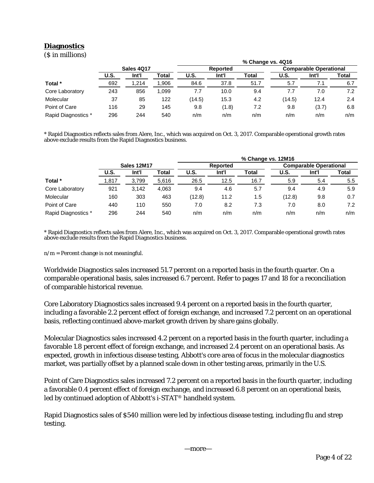# **Diagnostics**

(\$ in millions)

|                     |                   |       |       |             |          | % Change vs. 4Q16 |        |                               |       |  |
|---------------------|-------------------|-------|-------|-------------|----------|-------------------|--------|-------------------------------|-------|--|
|                     | <b>Sales 4017</b> |       |       |             | Reported |                   |        | <b>Comparable Operational</b> |       |  |
|                     | <b>U.S.</b>       | Int'l | Total | <b>U.S.</b> | Int'l    | <b>Total</b>      | U.S.   | Int'l                         | Total |  |
| Total *             | 692               | 1.214 | 1,906 | 84.6        | 37.8     | 51.7              | 5.7    |                               | 6.7   |  |
| Core Laboratory     | 243               | 856   | 1.099 | 7.7         | 10.0     | 9.4               | 7.7    | 7.0                           | 7.2   |  |
| Molecular           | 37                | 85    | 122   | (14.5)      | 15.3     | 4.2               | (14.5) | 12.4                          | 2.4   |  |
| Point of Care       | 116               | 29    | 145   | 9.8         | (1.8)    | 7.2               | 9.8    | (3.7)                         | 6.8   |  |
| Rapid Diagnostics * | 296               | 244   | 540   | n/m         | n/m      | n/m               | n/m    | n/m                           | n/m   |  |

\* Rapid Diagnostics reflects sales from Alere, Inc., which was acquired on Oct. 3, 2017. Comparable operational growth rates above exclude results from the Rapid Diagnostics business.

|                     |             |       |       | % Change vs. 12M16 |       |       |                               |       |               |  |  |
|---------------------|-------------|-------|-------|--------------------|-------|-------|-------------------------------|-------|---------------|--|--|
|                     | Sales 12M17 |       |       | <b>Reported</b>    |       |       | <b>Comparable Operational</b> |       |               |  |  |
|                     | U.S.        | Int'l | Total | <b>U.S.</b>        | Int'l | Total | U.S.                          | Int'l | Total         |  |  |
| Total *             | 1,817       | 3,799 | 5,616 | 26.5               | 12.5  | 16.7  | 5.9                           | 5.4   | $5.5^{\circ}$ |  |  |
| Core Laboratory     | 921         | 3.142 | 4.063 | 9.4                | 4.6   | 5.7   | 9.4                           | 4.9   | 5.9           |  |  |
| Molecular           | 160         | 303   | 463   | (12.8)             | 11.2  | 1.5   | (12.8)                        | 9.8   | 0.7           |  |  |
| Point of Care       | 440         | 110   | 550   | 7.0                | 8.2   | 7.3   | 7.0                           | 8.0   | 7.2           |  |  |
| Rapid Diagnostics * | 296         | 244   | 540   | n/m                | n/m   | n/m   | n/m                           | n/m   | n/m           |  |  |

\* Rapid Diagnostics reflects sales from Alere, Inc., which was acquired on Oct. 3, 2017. Comparable operational growth rates above exclude results from the Rapid Diagnostics business.

 $n/m =$  Percent change is not meaningful.

Worldwide Diagnostics sales increased 51.7 percent on a reported basis in the fourth quarter. On a comparable operational basis, sales increased 6.7 percent. Refer to pages 17 and 18 for a reconciliation of comparable historical revenue.

Core Laboratory Diagnostics sales increased 9.4 percent on a reported basis in the fourth quarter, including a favorable 2.2 percent effect of foreign exchange, and increased 7.2 percent on an operational basis, reflecting continued above-market growth driven by share gains globally.

Molecular Diagnostics sales increased 4.2 percent on a reported basis in the fourth quarter, including a favorable 1.8 percent effect of foreign exchange, and increased 2.4 percent on an operational basis. As expected, growth in infectious disease testing, Abbott's core area of focus in the molecular diagnostics market, was partially offset by a planned scale down in other testing areas, primarily in the U.S.

Point of Care Diagnostics sales increased 7.2 percent on a reported basis in the fourth quarter, including a favorable 0.4 percent effect of foreign exchange, and increased 6.8 percent on an operational basis, led by continued adoption of Abbott's i-STAT® handheld system.

Rapid Diagnostics sales of \$540 million were led by infectious disease testing, including flu and strep testing.

—more—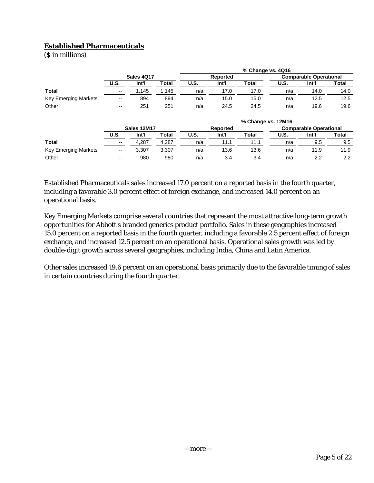# **Established Pharmaceuticals**

(\$ in millions)

|                             |                          |       |       | % Change vs. 4Q16 |       |       |                               |       |       |  |  |
|-----------------------------|--------------------------|-------|-------|-------------------|-------|-------|-------------------------------|-------|-------|--|--|
|                             | Sales 4Q17               |       |       | <b>Reported</b>   |       |       | <b>Comparable Operational</b> |       |       |  |  |
|                             | U.S.                     | Int'l | Total | <b>U.S.</b>       | Int'l | Total | U.S.                          | Int'l | Total |  |  |
| <b>Total</b>                | $- -$                    | .145  | .145  | n/a               | 17.0  | 17.0  | n/a                           | 14.0  | 14.0  |  |  |
| <b>Key Emerging Markets</b> | $\overline{\phantom{a}}$ | 894   | 894   | n/a               | 15.0  | 15.0  | n/a                           | 12.5  | 12.5  |  |  |
| Other                       | --                       | 251   | 251   | n/a               | 24.5  | 24.5  | n/a                           | 19.6  | 19.6  |  |  |

|                             |                          |       |       |                 |       | % Change vs. 12M16 |                               |       |       |
|-----------------------------|--------------------------|-------|-------|-----------------|-------|--------------------|-------------------------------|-------|-------|
|                             | Sales 12M17              |       |       | <b>Reported</b> |       |                    | <b>Comparable Operational</b> |       |       |
|                             | <b>U.S.</b>              | Int'l | Total | U.S.            | Int'l | Total              | U.S.                          | Int'l | Total |
| Total                       | $\overline{\phantom{a}}$ | 4.287 | 4.287 | n/a             | 11.1  | 11.1               | n/a                           | 9.5   | 9.5   |
| <b>Key Emerging Markets</b> | $\overline{\phantom{a}}$ | 3.307 | 3.307 | n/a             | 13.6  | 13.6               | n/a                           | 11.9  | 11.9  |
| Other                       | $\overline{\phantom{a}}$ | 980   | 980   | n/a             | 3.4   | 3.4                | n/a                           | 2.2   | 2.2   |

Established Pharmaceuticals sales increased 17.0 percent on a reported basis in the fourth quarter, including a favorable 3.0 percent effect of foreign exchange, and increased 14.0 percent on an operational basis.

Key Emerging Markets comprise several countries that represent the most attractive long-term growth opportunities for Abbott's branded generics product portfolio. Sales in these geographies increased 15.0 percent on a reported basis in the fourth quarter, including a favorable 2.5 percent effect of foreign exchange, and increased 12.5 percent on an operational basis. Operational sales growth was led by double-digit growth across several geographies, including India, China and Latin America.

Other sales increased 19.6 percent on an operational basis primarily due to the favorable timing of sales in certain countries during the fourth quarter.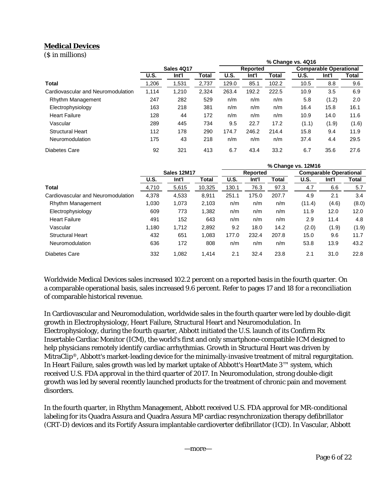# **Medical Devices**

(\$ in millions)

| $(9$ in miniving                   |             |                   |       | % Change vs. 4Q16 |          |       |             |                               |       |  |
|------------------------------------|-------------|-------------------|-------|-------------------|----------|-------|-------------|-------------------------------|-------|--|
|                                    |             | <b>Sales 4017</b> |       |                   | Reported |       |             | <b>Comparable Operational</b> |       |  |
|                                    | <b>U.S.</b> | Int'l             | Total | U.S.              | Int'l    | Total | <b>U.S.</b> | Int'l                         | Total |  |
| <b>Total</b>                       | ,206        | 1,531             | 2,737 | 129.0             | 85.1     | 102.2 | 10.5        | 8.8                           | 9.6   |  |
| Cardiovascular and Neuromodulation | 1.114       | 1.210             | 2,324 | 263.4             | 192.2    | 222.5 | 10.9        | 3.5                           | 6.9   |  |
| Rhythm Management                  | 247         | 282               | 529   | n/m               | n/m      | n/m   | 5.8         | (1.2)                         | 2.0   |  |
| Electrophysiology                  | 163         | 218               | 381   | n/m               | n/m      | n/m   | 16.4        | 15.8                          | 16.1  |  |
| <b>Heart Failure</b>               | 128         | 44                | 172   | n/m               | n/m      | n/m   | 10.9        | 14.0                          | 11.6  |  |
| Vascular                           | 289         | 445               | 734   | 9.5               | 22.7     | 17.2  | (1.1)       | (1.9)                         | (1.6) |  |
| <b>Structural Heart</b>            | 112         | 178               | 290   | 174.7             | 246.2    | 214.4 | 15.8        | 9.4                           | 11.9  |  |
| Neuromodulation                    | 175         | 43                | 218   | n/m               | n/m      | n/m   | 37.4        | 4.4                           | 29.5  |  |
| Diabetes Care                      | 92          | 321               | 413   | 6.7               | 43.4     | 33.2  | 6.7         | 35.6                          | 27.6  |  |

|                                    |             |             |        | % Change vs. 12M16 |                 |              |        |                               |       |  |
|------------------------------------|-------------|-------------|--------|--------------------|-----------------|--------------|--------|-------------------------------|-------|--|
|                                    |             | Sales 12M17 |        |                    | <b>Reported</b> |              |        | <b>Comparable Operational</b> |       |  |
|                                    | <b>U.S.</b> | Int'l       | Total  | U.S.               | Int'l           | <b>Total</b> | U.S.   | Int'l                         | Total |  |
| Total                              | 4,710       | 5,615       | 10,325 | 130.1              | 76.3            | 97.3         | 4.7    | 6.6                           | 5.7   |  |
| Cardiovascular and Neuromodulation | 4,378       | 4,533       | 8,911  | 251.1              | 175.0           | 207.7        | 4.9    | 2.1                           | 3.4   |  |
| Rhythm Management                  | 1,030       | 1,073       | 2,103  | n/m                | n/m             | n/m          | (11.4) | (4.6)                         | (8.0) |  |
| Electrophysiology                  | 609         | 773         | 1,382  | n/m                | n/m             | n/m          | 11.9   | 12.0                          | 12.0  |  |
| <b>Heart Failure</b>               | 491         | 152         | 643    | n/m                | n/m             | n/m          | 2.9    | 11.4                          | 4.8   |  |
| Vascular                           | 1,180       | 1,712       | 2,892  | 9.2                | 18.0            | 14.2         | (2.0)  | (1.9)                         | (1.9) |  |
| <b>Structural Heart</b>            | 432         | 651         | 1.083  | 177.0              | 232.4           | 207.8        | 15.0   | 9.6                           | 11.7  |  |
| Neuromodulation                    | 636         | 172         | 808    | n/m                | n/m             | n/m          | 53.8   | 13.9                          | 43.2  |  |
| Diabetes Care                      | 332         | 1,082       | 1.414  | 2.1                | 32.4            | 23.8         | 2.1    | 31.0                          | 22.8  |  |

Worldwide Medical Devices sales increased 102.2 percent on a reported basis in the fourth quarter. On a comparable operational basis, sales increased 9.6 percent. Refer to pages 17 and 18 for a reconciliation of comparable historical revenue.

In Cardiovascular and Neuromodulation, worldwide sales in the fourth quarter were led by double-digit growth in Electrophysiology, Heart Failure, Structural Heart and Neuromodulation. In Electrophysiology, during the fourth quarter, Abbott initiated the U.S. launch of its Confirm Rx Insertable Cardiac Monitor (ICM), the world's first and only smartphone-compatible ICM designed to help physicians remotely identify cardiac arrhythmias. Growth in Structural Heart was driven by MitraClip®, Abbott's market-leading device for the minimally-invasive treatment of mitral regurgitation. In Heart Failure, sales growth was led by market uptake of Abbott's HeartMate 3™ system, which received U.S. FDA approval in the third quarter of 2017. In Neuromodulation, strong double-digit growth was led by several recently launched products for the treatment of chronic pain and movement disorders.

In the fourth quarter, in Rhythm Management, Abbott received U.S. FDA approval for MR-conditional labeling for its Quadra Assura and Quadra Assura MP cardiac resynchronization therapy defibrillator (CRT-D) devices and its Fortify Assura implantable cardioverter defibrillator (ICD). In Vascular, Abbott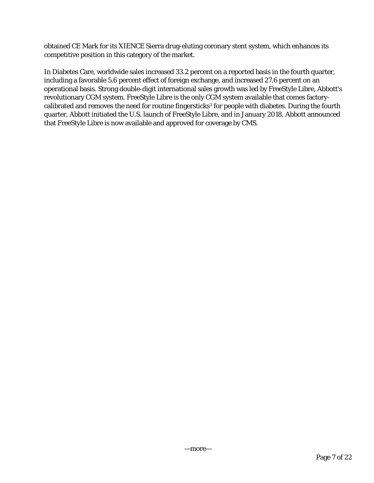obtained CE Mark for its XIENCE Sierra drug-eluting coronary stent system, which enhances its competitive position in this category of the market.

In Diabetes Care, worldwide sales increased 33.2 percent on a reported basis in the fourth quarter, including a favorable 5.6 percent effect of foreign exchange, and increased 27.6 percent on an operational basis. Strong double-digit international sales growth was led by FreeStyle Libre, Abbott's revolutionary CGM system. FreeStyle Libre is the only CGM system available that comes factorycalibrated and removes the need for routine fingersticks<sup>3</sup> for people with diabetes. During the fourth quarter, Abbott initiated the U.S. launch of FreeStyle Libre, and in January 2018, Abbott announced that FreeStyle Libre is now available and approved for coverage by CMS.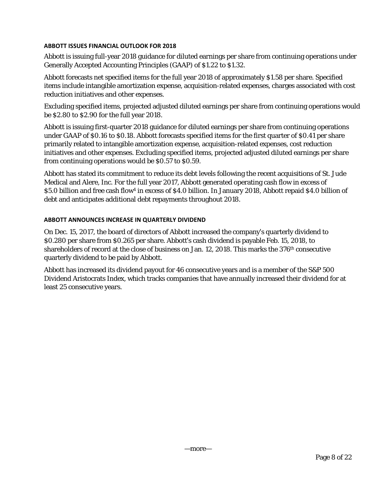## **ABBOTT ISSUES FINANCIAL OUTLOOK FOR 2018**

Abbott is issuing full-year 2018 guidance for diluted earnings per share from continuing operations under Generally Accepted Accounting Principles (GAAP) of \$1.22 to \$1.32.

Abbott forecasts net specified items for the full year 2018 of approximately \$1.58 per share. Specified items include intangible amortization expense, acquisition-related expenses, charges associated with cost reduction initiatives and other expenses.

Excluding specified items, projected adjusted diluted earnings per share from continuing operations would be \$2.80 to \$2.90 for the full year 2018.

Abbott is issuing first-quarter 2018 guidance for diluted earnings per share from continuing operations under GAAP of \$0.16 to \$0.18. Abbott forecasts specified items for the first quarter of \$0.41 per share primarily related to intangible amortization expense, acquisition-related expenses, cost reduction initiatives and other expenses. Excluding specified items, projected adjusted diluted earnings per share from continuing operations would be \$0.57 to \$0.59.

Abbott has stated its commitment to reduce its debt levels following the recent acquisitions of St. Jude Medical and Alere, Inc. For the full year 2017, Abbott generated operating cash flow in excess of \$5.0 billion and free cash flow<sup>4</sup> in excess of \$4.0 billion. In January 2018, Abbott repaid \$4.0 billion of debt and anticipates additional debt repayments throughout 2018.

## **ABBOTT ANNOUNCES INCREASE IN QUARTERLY DIVIDEND**

On Dec. 15, 2017, the board of directors of Abbott increased the company's quarterly dividend to \$0.280 per share from \$0.265 per share. Abbott's cash dividend is payable Feb. 15, 2018, to shareholders of record at the close of business on Jan. 12, 2018. This marks the 376th consecutive quarterly dividend to be paid by Abbott.

Abbott has increased its dividend payout for 46 consecutive years and is a member of the S&P 500 Dividend Aristocrats Index, which tracks companies that have annually increased their dividend for at least 25 consecutive years.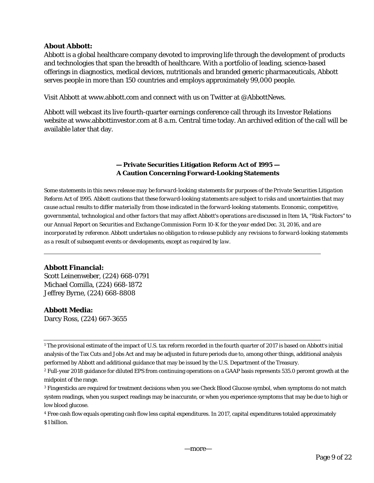## **About Abbott:**

Abbott is a global healthcare company devoted to improving life through the development of products and technologies that span the breadth of healthcare. With a portfolio of leading, science-based offerings in diagnostics, medical devices, nutritionals and branded generic pharmaceuticals, Abbott serves people in more than 150 countries and employs approximately 99,000 people.

Visit Abbott at www.abbott.com and connect with us on Twitter at @AbbottNews.

Abbott will webcast its live fourth-quarter earnings conference call through its Investor Relations website at www.abbottinvestor.com at 8 a.m. Central time today. An archived edition of the call will be available later that day.

# **— Private Securities Litigation Reform Act of 1995 — A Caution Concerning Forward-Looking Statements**

*Some statements in this news release may be forward-looking statements for purposes of the Private Securities Litigation Reform Act of 1995. Abbott cautions that these forward-looking statements are subject to risks and uncertainties that may cause actual results to differ materially from those indicated in the forward-looking statements. Economic, competitive, governmental, technological and other factors that may affect Abbott's operations are discussed in Item 1A, "Risk Factors'' to our Annual Report on Securities and Exchange Commission Form 10-K for the year ended Dec. 31, 2016, and are incorporated by reference. Abbott undertakes no obligation to release publicly any revisions to forward-looking statements as a result of subsequent events or developments, except as required by law.* 

## **Abbott Financial:**

Scott Leinenweber, (224) 668-0791 Michael Comilla, (224) 668-1872 Jeffrey Byrne, (224) 668-8808

## **Abbott Media:**

Darcy Ross, (224) 667-3655

<sup>1</sup> The provisional estimate of the impact of U.S. tax reform recorded in the fourth quarter of 2017 is based on Abbott's initial analysis of the Tax Cuts and Jobs Act and may be adjusted in future periods due to, among other things, additional analysis performed by Abbott and additional guidance that may be issued by the U.S. Department of the Treasury.

<sup>2</sup> Full-year 2018 guidance for diluted EPS from continuing operations on a GAAP basis represents 535.0 percent growth at the midpoint of the range.

<sup>3</sup> Fingersticks are required for treatment decisions when you see Check Blood Glucose symbol, when symptoms do not match system readings, when you suspect readings may be inaccurate, or when you experience symptoms that may be due to high or low blood glucose.

<sup>4</sup> Free cash flow equals operating cash flow less capital expenditures. In 2017, capital expenditures totaled approximately \$1 billion.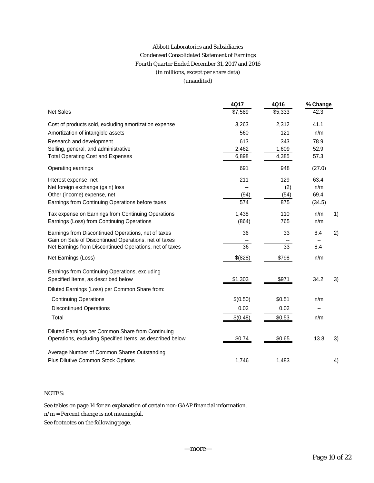# Abbott Laboratories and Subsidiaries Condensed Consolidated Statement of Earnings Fourth Quarter Ended December 31, 2017 and 2016 (in millions, except per share data) (unaudited)

|                                                           | 4Q17     | 4Q16    | % Change |    |
|-----------------------------------------------------------|----------|---------|----------|----|
| <b>Net Sales</b>                                          | \$7,589  | \$5,333 | 42.3     |    |
| Cost of products sold, excluding amortization expense     | 3,263    | 2,312   | 41.1     |    |
| Amortization of intangible assets                         | 560      | 121     | n/m      |    |
| Research and development                                  | 613      | 343     | 78.9     |    |
| Selling, general, and administrative                      | 2,462    | 1,609   | 52.9     |    |
| <b>Total Operating Cost and Expenses</b>                  | 6,898    | 4,385   | 57.3     |    |
| Operating earnings                                        | 691      | 948     | (27.0)   |    |
| Interest expense, net                                     | 211      | 129     | 63.4     |    |
| Net foreign exchange (gain) loss                          |          | (2)     | n/m      |    |
| Other (income) expense, net                               | (94)     | (54)    | 69.4     |    |
| Earnings from Continuing Operations before taxes          | 574      | 875     | (34.5)   |    |
| Tax expense on Earnings from Continuing Operations        | 1,438    | 110     | n/m      | 1) |
| Earnings (Loss) from Continuing Operations                | (864)    | 765     | n/m      |    |
| Earnings from Discontinued Operations, net of taxes       | 36       | 33      | 8.4      | 2) |
| Gain on Sale of Discontinued Operations, net of taxes     |          |         |          |    |
| Net Earnings from Discontinued Operations, net of taxes   | 36       | 33      | 8.4      |    |
| Net Earnings (Loss)                                       | \$(828)  | \$798   | n/m      |    |
| Earnings from Continuing Operations, excluding            |          |         |          |    |
| Specified Items, as described below                       | \$1,303  | \$971   | 34.2     | 3) |
| Diluted Earnings (Loss) per Common Share from:            |          |         |          |    |
| <b>Continuing Operations</b>                              | \$(0.50) | \$0.51  | n/m      |    |
| <b>Discontinued Operations</b>                            | 0.02     | 0.02    |          |    |
| Total                                                     | \$(0.48) | \$0.53  | n/m      |    |
| Diluted Earnings per Common Share from Continuing         |          |         |          |    |
| Operations, excluding Specified Items, as described below | \$0.74   | \$0.65  | 13.8     | 3) |
| Average Number of Common Shares Outstanding               |          |         |          |    |
| Plus Dilutive Common Stock Options                        | 1,746    | 1,483   |          | 4) |

## NOTES:

See tables on page 14 for an explanation of certain non-GAAP financial information.

n/m = Percent change is not meaningful.

See footnotes on the following page.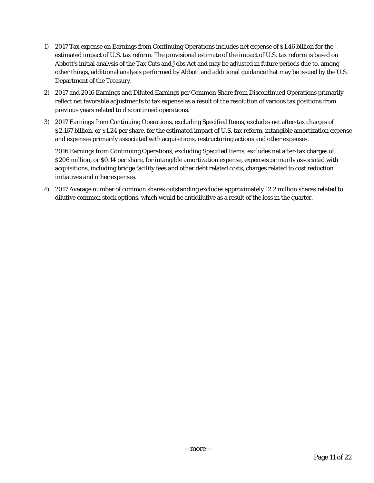- 1) 2017 Tax expense on Earnings from Continuing Operations includes net expense of \$1.46 billion for the estimated impact of U.S. tax reform. The provisional estimate of the impact of U.S. tax reform is based on Abbott's initial analysis of the Tax Cuts and Jobs Act and may be adjusted in future periods due to, among other things, additional analysis performed by Abbott and additional guidance that may be issued by the U.S. Department of the Treasury.
- 2) 2017 and 2016 Earnings and Diluted Earnings per Common Share from Discontinued Operations primarily reflect net favorable adjustments to tax expense as a result of the resolution of various tax positions from previous years related to discontinued operations.
- 3) 2017 Earnings from Continuing Operations, excluding Specified Items, excludes net after-tax charges of \$2.167 billion, or \$1.24 per share, for the estimated impact of U.S. tax reform, intangible amortization expense and expenses primarily associated with acquisitions, restructuring actions and other expenses.

2016 Earnings from Continuing Operations, excluding Specified Items, excludes net after-tax charges of \$206 million, or \$0.14 per share, for intangible amortization expense, expenses primarily associated with acquisitions, including bridge facility fees and other debt related costs, charges related to cost reduction initiatives and other expenses.

4) 2017 Average number of common shares outstanding excludes approximately 12.2 million shares related to dilutive common stock options, which would be antidilutive as a result of the loss in the quarter.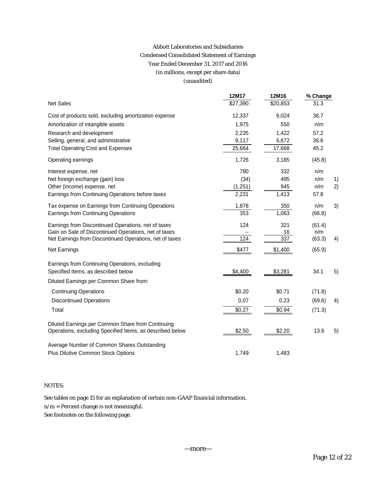# Abbott Laboratories and Subsidiaries Condensed Consolidated Statement of Earnings Year Ended December 31, 2017 and 2016 (in millions, except per share data) (unaudited)

|                                                           | 12M17    | 12M16    | % Change |    |
|-----------------------------------------------------------|----------|----------|----------|----|
| <b>Net Sales</b>                                          | \$27,390 | \$20,853 | 31.3     |    |
| Cost of products sold, excluding amortization expense     | 12,337   | 9,024    | 36.7     |    |
| Amortization of intangible assets                         | 1,975    | 550      | n/m      |    |
| Research and development                                  | 2,235    | 1,422    | 57.2     |    |
| Selling, general, and administrative                      | 9,117    | 6,672    | 36.6     |    |
| <b>Total Operating Cost and Expenses</b>                  | 25,664   | 17,668   | 45.2     |    |
| Operating earnings                                        | 1,726    | 3,185    | (45.8)   |    |
| Interest expense, net                                     | 780      | 332      | n/m      |    |
| Net foreign exchange (gain) loss                          | (34)     | 495      | n/m      | 1) |
| Other (income) expense, net                               | (1,251)  | 945      | n/m      | 2) |
| Earnings from Continuing Operations before taxes          | 2,231    | 1,413    | 57.8     |    |
| Tax expense on Earnings from Continuing Operations        | 1,878    | 350      | n/m      | 3) |
| Earnings from Continuing Operations                       | 353      | 1,063    | (66.8)   |    |
| Earnings from Discontinued Operations, net of taxes       | 124      | 321      | (61.4)   |    |
| Gain on Sale of Discontinued Operations, net of taxes     |          | 16       | n/m      |    |
| Net Earnings from Discontinued Operations, net of taxes   | 124      | 337      | (63.3)   | 4) |
| Net Earnings                                              | \$477    | \$1,400  | (65.9)   |    |
| Earnings from Continuing Operations, excluding            |          |          |          |    |
| Specified Items, as described below                       | \$4,400  | \$3,281  | 34.1     | 5) |
| Diluted Earnings per Common Share from:                   |          |          |          |    |
| <b>Continuing Operations</b>                              | \$0.20   | \$0.71   | (71.8)   |    |
| <b>Discontinued Operations</b>                            | 0.07     | 0.23     | (69.6)   | 4) |
| Total                                                     | \$0.27   | \$0.94   | (71.3)   |    |
| Diluted Earnings per Common Share from Continuing         |          |          |          |    |
| Operations, excluding Specified Items, as described below | \$2.50   | \$2.20   | 13.6     | 5) |
| Average Number of Common Shares Outstanding               |          |          |          |    |
| Plus Dilutive Common Stock Options                        | 1,749    | 1,483    |          |    |

## NOTES:

See tables on page 15 for an explanation of certain non-GAAP financial information.

n/m = Percent change is not meaningful.

See footnotes on the following page.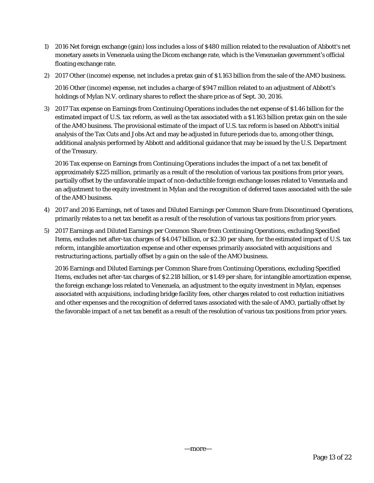- 1) 2016 Net foreign exchange (gain) loss includes a loss of \$480 million related to the revaluation of Abbott's net monetary assets in Venezuela using the Dicom exchange rate, which is the Venezuelan government's official floating exchange rate.
- 2) 2017 Other (income) expense, net includes a pretax gain of \$1.163 billion from the sale of the AMO business.

2016 Other (income) expense, net includes a charge of \$947 million related to an adjustment of Abbott's holdings of Mylan N.V. ordinary shares to reflect the share price as of Sept. 30, 2016.

3) 2017 Tax expense on Earnings from Continuing Operations includes the net expense of \$1.46 billion for the estimated impact of U.S. tax reform, as well as the tax associated with a \$1.163 billion pretax gain on the sale of the AMO business. The provisional estimate of the impact of U.S. tax reform is based on Abbott's initial analysis of the Tax Cuts and Jobs Act and may be adjusted in future periods due to, among other things, additional analysis performed by Abbott and additional guidance that may be issued by the U.S. Department of the Treasury.

2016 Tax expense on Earnings from Continuing Operations includes the impact of a net tax benefit of approximately \$225 million, primarily as a result of the resolution of various tax positions from prior years, partially offset by the unfavorable impact of non-deductible foreign exchange losses related to Venezuela and an adjustment to the equity investment in Mylan and the recognition of deferred taxes associated with the sale of the AMO business.

- 4) 2017 and 2016 Earnings, net of taxes and Diluted Earnings per Common Share from Discontinued Operations, primarily relates to a net tax benefit as a result of the resolution of various tax positions from prior years.
- 5) 2017 Earnings and Diluted Earnings per Common Share from Continuing Operations, excluding Specified Items, excludes net after-tax charges of \$4.047 billion, or \$2.30 per share, for the estimated impact of U.S. tax reform, intangible amortization expense and other expenses primarily associated with acquisitions and restructuring actions, partially offset by a gain on the sale of the AMO business.

2016 Earnings and Diluted Earnings per Common Share from Continuing Operations, excluding Specified Items, excludes net after-tax charges of \$2.218 billion, or \$1.49 per share, for intangible amortization expense, the foreign exchange loss related to Venezuela, an adjustment to the equity investment in Mylan, expenses associated with acquisitions, including bridge facility fees, other charges related to cost reduction initiatives and other expenses and the recognition of deferred taxes associated with the sale of AMO, partially offset by the favorable impact of a net tax benefit as a result of the resolution of various tax positions from prior years.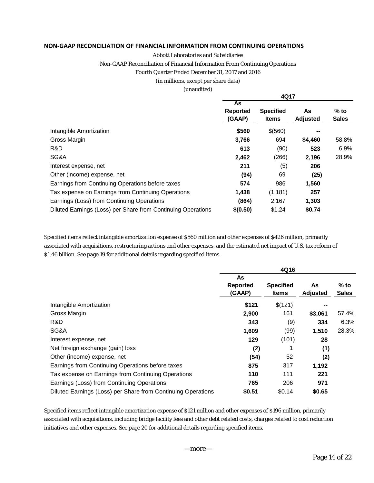## **NON‐GAAP RECONCILIATION OF FINANCIAL INFORMATION FROM CONTINUING OPERATIONS**

## Abbott Laboratories and Subsidiaries

Non-GAAP Reconciliation of Financial Information From Continuing Operations

#### Fourth Quarter Ended December 31, 2017 and 2016

#### (in millions, except per share data)

#### (unaudited)

|                                                              |                          | 4Q17                             |                       |                        |
|--------------------------------------------------------------|--------------------------|----------------------------------|-----------------------|------------------------|
|                                                              | As<br>Reported<br>(GAAP) | <b>Specified</b><br><b>Items</b> | As<br><b>Adjusted</b> | $%$ to<br><b>Sales</b> |
| Intangible Amortization                                      | \$560                    | \$(560)                          |                       |                        |
| Gross Margin                                                 | 3,766                    | 694                              | \$4,460               | 58.8%                  |
| R&D                                                          | 613                      | (90)                             | 523                   | 6.9%                   |
| SG&A                                                         | 2,462                    | (266)                            | 2,196                 | 28.9%                  |
| Interest expense, net                                        | 211                      | (5)                              | 206                   |                        |
| Other (income) expense, net                                  | (94)                     | 69                               | (25)                  |                        |
| Earnings from Continuing Operations before taxes             | 574                      | 986                              | 1,560                 |                        |
| Tax expense on Earnings from Continuing Operations           | 1,438                    | (1, 181)                         | 257                   |                        |
| Earnings (Loss) from Continuing Operations                   | (864)                    | 2,167                            | 1,303                 |                        |
| Diluted Earnings (Loss) per Share from Continuing Operations | \$(0.50)                 | \$1.24                           | \$0.74                |                        |

Specified items reflect intangible amortization expense of \$560 million and other expenses of \$426 million, primarily associated with acquisitions, restructuring actions and other expenses, and the estimated net impact of U.S. tax reform of \$1.46 billion. See page 19 for additional details regarding specified items.

|                                                              | As<br><b>Reported</b><br>(GAAP) | <b>Specified</b><br>Items | As<br>Adjusted | $%$ to<br><b>Sales</b> |
|--------------------------------------------------------------|---------------------------------|---------------------------|----------------|------------------------|
| Intangible Amortization                                      | \$121                           | \$(121)                   |                |                        |
| Gross Margin                                                 | 2,900                           | 161                       | \$3,061        | 57.4%                  |
| R&D                                                          | 343                             | (9)                       | 334            | 6.3%                   |
| SG&A                                                         | 1,609                           | (99)                      | 1,510          | 28.3%                  |
| Interest expense, net                                        | 129                             | (101)                     | 28             |                        |
| Net foreign exchange (gain) loss                             | (2)                             |                           | (1)            |                        |
| Other (income) expense, net                                  | (54)                            | 52                        | (2)            |                        |
| Earnings from Continuing Operations before taxes             | 875                             | 317                       | 1,192          |                        |
| Tax expense on Earnings from Continuing Operations           | 110                             | 111                       | 221            |                        |
| Earnings (Loss) from Continuing Operations                   | 765                             | 206                       | 971            |                        |
| Diluted Earnings (Loss) per Share from Continuing Operations | \$0.51                          | \$0.14                    | \$0.65         |                        |

Specified items reflect intangible amortization expense of \$121 million and other expenses of \$196 million, primarily associated with acquisitions, including bridge facility fees and other debt related costs, charges related to cost reduction initiatives and other expenses. See page 20 for additional details regarding specified items.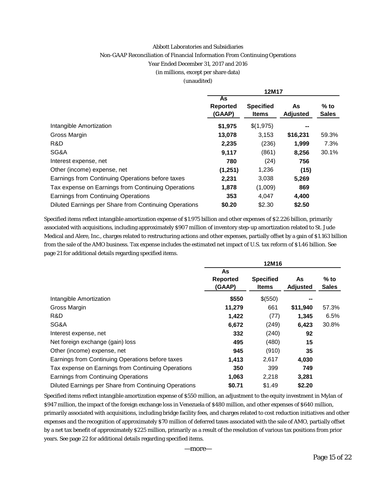#### Abbott Laboratories and Subsidiaries

#### Non-GAAP Reconciliation of Financial Information From Continuing Operations

#### Year Ended December 31, 2017 and 2016

(in millions, except per share data)

#### (unaudited)

|                                                       | 12M17                           |                                  |                       |                        |  |  |  |  |  |
|-------------------------------------------------------|---------------------------------|----------------------------------|-----------------------|------------------------|--|--|--|--|--|
|                                                       | As<br><b>Reported</b><br>(GAAP) | <b>Specified</b><br><b>Items</b> | As<br><b>Adjusted</b> | $%$ to<br><b>Sales</b> |  |  |  |  |  |
| Intangible Amortization                               | \$1,975                         | \$(1,975)                        | --                    |                        |  |  |  |  |  |
| Gross Margin                                          | 13,078                          | 3,153                            | \$16,231              | 59.3%                  |  |  |  |  |  |
| R&D                                                   | 2,235                           | (236)                            | 1,999                 | 7.3%                   |  |  |  |  |  |
| SG&A                                                  | 9,117                           | (861)                            | 8,256                 | 30.1%                  |  |  |  |  |  |
| Interest expense, net                                 | 780                             | (24)                             | 756                   |                        |  |  |  |  |  |
| Other (income) expense, net                           | (1,251)                         | 1,236                            | (15)                  |                        |  |  |  |  |  |
| Earnings from Continuing Operations before taxes      | 2,231                           | 3,038                            | 5,269                 |                        |  |  |  |  |  |
| Tax expense on Earnings from Continuing Operations    | 1.878                           | (1,009)                          | 869                   |                        |  |  |  |  |  |
| Earnings from Continuing Operations                   | 353                             | 4,047                            | 4,400                 |                        |  |  |  |  |  |
| Diluted Earnings per Share from Continuing Operations | \$0.20                          | \$2.30                           | \$2.50                |                        |  |  |  |  |  |

Specified items reflect intangible amortization expense of \$1.975 billion and other expenses of \$2.226 billion, primarily associated with acquisitions, including approximately \$907 million of inventory step-up amortization related to St. Jude Medical and Alere, Inc., charges related to restructuring actions and other expenses, partially offset by a gain of \$1.163 billion from the sale of the AMO business. Tax expense includes the estimated net impact of U.S. tax reform of \$1.46 billion. See page 21 for additional details regarding specified items.

|                                                       | 12M16                           |                           |                |                        |  |  |  |  |  |  |
|-------------------------------------------------------|---------------------------------|---------------------------|----------------|------------------------|--|--|--|--|--|--|
|                                                       | As<br><b>Reported</b><br>(GAAP) | <b>Specified</b><br>Items | As<br>Adjusted | $%$ to<br><b>Sales</b> |  |  |  |  |  |  |
| Intangible Amortization                               | \$550                           | \$(550)                   |                |                        |  |  |  |  |  |  |
| Gross Margin                                          | 11,279                          | 661                       | \$11,940       | 57.3%                  |  |  |  |  |  |  |
| R&D                                                   | 1,422                           | (77)                      | 1,345          | 6.5%                   |  |  |  |  |  |  |
| SG&A                                                  | 6,672                           | (249)                     | 6,423          | 30.8%                  |  |  |  |  |  |  |
| Interest expense, net                                 | 332                             | (240)                     | 92             |                        |  |  |  |  |  |  |
| Net foreign exchange (gain) loss                      | 495                             | (480)                     | 15             |                        |  |  |  |  |  |  |
| Other (income) expense, net                           | 945                             | (910)                     | 35             |                        |  |  |  |  |  |  |
| Earnings from Continuing Operations before taxes      | 1,413                           | 2,617                     | 4,030          |                        |  |  |  |  |  |  |
| Tax expense on Earnings from Continuing Operations    | 350                             | 399                       | 749            |                        |  |  |  |  |  |  |
| Earnings from Continuing Operations                   | 1,063                           | 2,218                     | 3,281          |                        |  |  |  |  |  |  |
| Diluted Earnings per Share from Continuing Operations | \$0.71                          | \$1.49                    | \$2.20         |                        |  |  |  |  |  |  |

Specified items reflect intangible amortization expense of \$550 million, an adjustment to the equity investment in Mylan of \$947 million, the impact of the foreign exchange loss in Venezuela of \$480 million, and other expenses of \$640 million, primarily associated with acquisitions, including bridge facility fees, and charges related to cost reduction initiatives and other expenses and the recognition of approximately \$70 million of deferred taxes associated with the sale of AMO, partially offset by a net tax benefit of approximately \$225 million, primarily as a result of the resolution of various tax positions from prior years. See page 22 for additional details regarding specified items.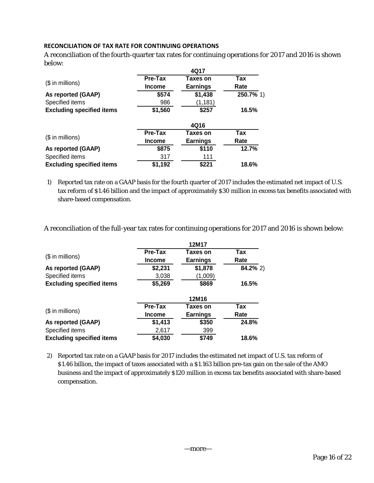## **RECONCILIATION OF TAX RATE FOR CONTINUING OPERATIONS**

A reconciliation of the fourth-quarter tax rates for continuing operations for 2017 and 2016 is shown below:

|                                  |               | 4Q17            |           |
|----------------------------------|---------------|-----------------|-----------|
|                                  | Pre-Tax       | Taxes on        | Tax       |
| $$$ in millions)                 | <b>Income</b> | <b>Earnings</b> | Rate      |
| As reported (GAAP)               | \$574         | \$1,438         | 250.7% 1) |
| Specified items                  | 986           | (1, 181)        |           |
| <b>Excluding specified items</b> | \$1,560       | \$257           | 16.5%     |
|                                  |               | 4Q16            |           |
|                                  | Pre-Tax       | Taxes on        | Tax       |
| $($$ in millions)                | <b>Income</b> | <b>Earnings</b> | Rate      |
| As reported (GAAP)               | \$875         | \$110           | 12.7%     |
| Specified items                  | 317           | 111             |           |
| <b>Excluding specified items</b> | \$1,192       | \$221           | 18.6%     |

1) Reported tax rate on a GAAP basis for the fourth quarter of 2017 includes the estimated net impact of U.S. tax reform of \$1.46 billion and the impact of approximately \$30 million in excess tax benefits associated with share-based compensation.

A reconciliation of the full-year tax rates for continuing operations for 2017 and 2016 is shown below:

|                                  | <b>Pre-Tax</b> | Taxes on        | <b>Tax</b>  |
|----------------------------------|----------------|-----------------|-------------|
| $$$ in millions)                 | <b>Income</b>  | <b>Earnings</b> | Rate        |
| As reported (GAAP)               | \$2,231        | \$1,878         | $84.2\%$ 2) |
| Specified items                  | 3,038          | (1,009)         |             |
| <b>Excluding specified items</b> | \$5,269        | \$869           | 16.5%       |
|                                  |                | 12M16           |             |
|                                  | Pre-Tax        | Taxes on        | Tax         |
| $$$ in millions)                 | <b>Income</b>  | <b>Earnings</b> | Rate        |
| As reported (GAAP)               | \$1,413        | \$350           | 24.8%       |
| Specified items                  | 2,617          | 399             |             |
| <b>Excluding specified items</b> | \$4,030        | \$749           | 18.6%       |

2) Reported tax rate on a GAAP basis for 2017 includes the estimated net impact of U.S. tax reform of \$1.46 billion, the impact of taxes associated with a \$1.163 billion pre-tax gain on the sale of the AMO business and the impact of approximately \$120 million in excess tax benefits associated with share-based compensation.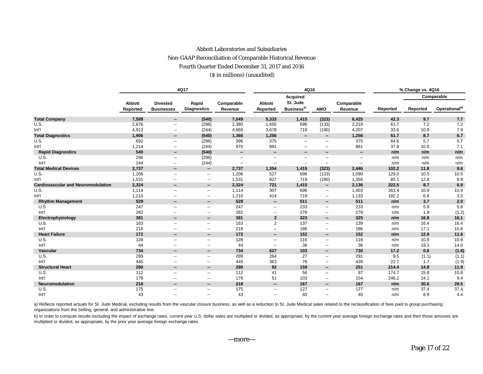## Abbott Laboratories and Subsidiaries Non-GAAP Reconciliation of Comparable Historical Revenue Fourth Quarter Ended December 31, 2017 and 2016 (\$ in millions) (unaudited)

|                                           |                    |                                      | 4Q17                        |                          |                          | 4Q16                               |                          |                          | % Change vs. 4Q16 |          |                           |  |  |
|-------------------------------------------|--------------------|--------------------------------------|-----------------------------|--------------------------|--------------------------|------------------------------------|--------------------------|--------------------------|-------------------|----------|---------------------------|--|--|
|                                           |                    |                                      |                             |                          |                          | <b>Acquired</b>                    |                          |                          |                   |          | Comparable                |  |  |
|                                           | Abbott<br>Reported | <b>Divested</b><br><b>Businesses</b> | Rapid<br><b>Diagnostics</b> | Comparable<br>Revenue    | Abbott<br>Reported       | St. Jude<br>Business <sup>a)</sup> | <b>AMO</b>               | Comparable<br>Revenue    | Reported          | Reported | Operational <sup>b)</sup> |  |  |
| <b>Total Company</b>                      | 7,589              | --                                   | (540)                       | 7,049                    | 5,333                    | 1,415                              | (323)                    | 6,425                    | 42.3              | 9.7      | 7.7                       |  |  |
| U.S.                                      | 2,676              | $\overline{\phantom{a}}$             | (296)                       | 2,380                    | 1,655                    | 696                                | (133)                    | 2,218                    | 61.7              | 7.2      | 7.2                       |  |  |
| Int'l                                     | 4,913              | $\overline{\phantom{a}}$             | (244)                       | 4,669                    | 3,678                    | 719                                | (190)                    | 4,207                    | 33.6              | 10.9     | 7.9                       |  |  |
| <b>Total Diagnostics</b>                  | 1,906              | $\overline{\phantom{a}}$             | (540)                       | 1,366                    | 1,256                    | $\overline{\phantom{a}}$           | $\sim$                   | 1,256                    | 51.7              | 8.7      | 6.7                       |  |  |
| U.S.                                      | 692                | $\overline{\phantom{a}}$             | (296)                       | 396                      | 375                      | $\overline{\phantom{a}}$           | --                       | 375                      | 84.6              | 5.7      | 5.7                       |  |  |
| Int'l                                     | 1,214              | $\overline{\phantom{a}}$             | (244)                       | 970                      | 881                      | $\overline{\phantom{a}}$           | $\overline{\phantom{a}}$ | 881                      | 37.8              | 10.0     | 7.1                       |  |  |
| <b>Rapid Diagnostics</b>                  | 540                | --                                   | (540)                       | --                       | $\overline{\phantom{a}}$ | $\overline{\phantom{a}}$           | --                       | $\overline{\phantom{a}}$ | n/m               | n/m      | n/m                       |  |  |
| U.S.                                      | 296                | $\overline{\phantom{a}}$             | (296)                       | $\overline{\phantom{a}}$ | --                       | $\overline{\phantom{a}}$           | --                       | $\overline{\phantom{a}}$ | n/m               | n/m      | n/m                       |  |  |
| Int'l                                     | 244                | $\overline{\phantom{a}}$             | (244)                       | --                       | --                       | $\overline{\phantom{a}}$           | --                       | --                       | n/m               | n/m      | n/m                       |  |  |
| <b>Total Medical Devices</b>              | 2,737              | $\overline{\phantom{a}}$             | --                          | 2,737                    | 1,354                    | 1,415                              | (323)                    | 2,446                    | 102.2             | 11.8     | 9.6                       |  |  |
| U.S.                                      | 1,206              | $\overline{\phantom{a}}$             | $\overline{\phantom{a}}$    | 1,206                    | 527                      | 696                                | (133)                    | 1,090                    | 129.0             | 10.5     | 10.5                      |  |  |
| Int'l                                     | 1,531              | $\overline{\phantom{a}}$             | $\overline{\phantom{a}}$    | 1,531                    | 827                      | 719                                | (190)                    | 1,356                    | 85.1              | 12.8     | 8.8                       |  |  |
| <b>Cardiovascular and Neuromodulation</b> | 2,324              | $\overline{\phantom{a}}$             | $\overline{\phantom{a}}$    | 2,324                    | 721                      | 1,415                              | $\overline{\phantom{a}}$ | 2,136                    | 222.5             | 8.7      | 6.9                       |  |  |
| U.S.                                      | 1,114              | $\overline{\phantom{a}}$             | $\overline{\phantom{a}}$    | 1,114                    | 307                      | 696                                | $\overline{\phantom{a}}$ | 1,003                    | 263.4             | 10.9     | 10.9                      |  |  |
| Int'l                                     | 1,210              | --                                   | --                          | 1,210                    | 414                      | 719                                | $\overline{\phantom{a}}$ | 1,133                    | 192.2             | 6.8      | 3.5                       |  |  |
| <b>Rhythm Management</b>                  | 529                | --                                   | $\overline{\phantom{a}}$    | 529                      | $\overline{\phantom{a}}$ | 511                                | $\overline{\phantom{a}}$ | 511                      | n/m               | 3.7      | 2.0                       |  |  |
| U.S.                                      | 247                | $\overline{a}$                       | $\overline{\phantom{a}}$    | 247                      | $\overline{a}$           | 233                                | $\overline{a}$           | 233                      | n/m               | 5.8      | 5.8                       |  |  |
| Int'l                                     | 282                | --                                   | $\overline{\phantom{a}}$    | 282                      | --                       | 278                                | --                       | 278                      | n/m               | 1.9      | (1.2)                     |  |  |
| Electrophysiology                         | 381                | --                                   | $\overline{\phantom{a}}$    | 381                      | $\mathbf{2}$             | 323                                | $\overline{\phantom{a}}$ | 325                      | n/m               | 16.8     | 16.1                      |  |  |
| U.S.                                      | 163                | --                                   | $\overline{\phantom{a}}$    | 163                      | 2                        | 137                                | --                       | 139                      | n/m               | 16.4     | 16.4                      |  |  |
| Int'l                                     | 218                | --                                   | --                          | 218                      | --                       | 186                                | --                       | 186                      | n/m               | 17.1     | 15.8                      |  |  |
| <b>Heart Failure</b>                      | 172                | $\overline{\phantom{a}}$             | $\overline{\phantom{a}}$    | 172                      | $\overline{\phantom{a}}$ | 152                                | $\overline{\phantom{a}}$ | 152                      | n/m               | 12.9     | 11.6                      |  |  |
| U.S.                                      | 128                | --                                   | $\overline{\phantom{a}}$    | 128                      | --                       | 116                                | --                       | 116                      | n/m               | 10.9     | 10.9                      |  |  |
| Int'l                                     | 44                 | --                                   | --                          | 44                       | $\overline{\phantom{a}}$ | 36                                 | --                       | 36                       | n/m               | 19.3     | 14.0                      |  |  |
| Vascular                                  | 734                | --                                   | $\overline{\phantom{a}}$    | 734                      | 627                      | 103                                | −−                       | 730                      | 17.2              | 0.6      | (1.6)                     |  |  |
| U.S.                                      | 289                | --                                   | $\overline{\phantom{a}}$    | 289                      | 264                      | 27                                 | --                       | 291                      | 9.5               | (1.1)    | (1.1)                     |  |  |
| Int'l                                     | 445                | --                                   | --                          | 445                      | 363                      | 76                                 | --                       | 439                      | 22.7              | 1.7      | (1.9)                     |  |  |
| <b>Structural Heart</b>                   | 290                | $\overline{\phantom{a}}$             | $\overline{\phantom{a}}$    | 290                      | 92                       | 159                                | $\overline{\phantom{a}}$ | 251                      | 214.4             | 14.8     | 11.9                      |  |  |
| U.S.                                      | 112                | $\overline{\phantom{a}}$             | --                          | 112                      | 41                       | 56                                 | --                       | 97                       | 174.7             | 15.8     | 15.8                      |  |  |
| Int'l                                     | 178                | --                                   | $\overline{\phantom{a}}$    | 178                      | 51                       | 103                                | --                       | 154                      | 246.2             | 14.1     | 9.4                       |  |  |
| <b>Neuromodulation</b>                    | 218                | --                                   | --                          | 218                      | $\overline{\phantom{a}}$ | 167                                | $\sim$                   | 167                      | n/m               | 30.6     | 29.5                      |  |  |
| U.S.                                      | 175                | --                                   | --                          | 175                      | --                       | 127                                | --                       | 127                      | n/m               | 37.4     | 37.4                      |  |  |
| Int'l                                     | 43                 | --                                   | $\overline{\phantom{a}}$    | 43                       | $\overline{\phantom{a}}$ | 40                                 | $\overline{a}$           | 40                       | n/m               | 8.9      | 4.4                       |  |  |

a) Reflects reported actuals for St. Jude Medical, excluding results from the vascular closure business, as well as a reduction to St. Jude Medical sales related to the reclassification of fees paid to group purchasing organizations from the Selling, general, and administrative line.

b) In order to compute results excluding the impact of exchange rates, current year U.S. dollar sales are multiplied or divided, as appropriate, by the current year average foreign exchange rates and then those amounts are multiplied or divided, as appropriate, by the prior year average foreign exchange rates.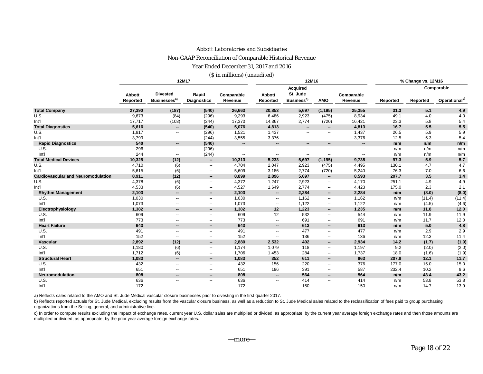#### Abbott Laboratories and Subsidiaries

#### Non-GAAP Reconciliation of Comparable Historical Revenue

Year Ended December 31, 2017 and 2016

(\$ in millions) (unaudited)

|                                           |                    |                                             | 12M17                       |                          |                           | 12M16                              |                          | % Change vs. 12M16    |          |          |                           |  |
|-------------------------------------------|--------------------|---------------------------------------------|-----------------------------|--------------------------|---------------------------|------------------------------------|--------------------------|-----------------------|----------|----------|---------------------------|--|
|                                           |                    |                                             |                             |                          |                           | <b>Acquired</b>                    |                          |                       |          |          | Comparable                |  |
|                                           | Abbott<br>Reported | <b>Divested</b><br>Businesses <sup>a)</sup> | Rapid<br><b>Diagnostics</b> | Comparable<br>Revenue    | <b>Abbott</b><br>Reported | St. Jude<br>Business <sup>b)</sup> | <b>AMO</b>               | Comparable<br>Revenue | Reported | Reported | Operational <sup>c)</sup> |  |
| <b>Total Company</b>                      | 27,390             | (187)                                       | (540)                       | 26,663                   | 20,853                    | 5,697                              | (1, 195)                 | 25,355                | 31.3     | 5.1      | 4.9                       |  |
| U.S.                                      | 9,673              | (84)                                        | (296)                       | 9,293                    | 6,486                     | 2,923                              | (475)                    | 8,934                 | 49.1     | 4.0      | 4.0                       |  |
| Int'l                                     | 17,717             | (103)                                       | (244)                       | 17,370                   | 14,367                    | 2,774                              | (720)                    | 16,421                | 23.3     | 5.8      | 5.4                       |  |
| <b>Total Diagnostics</b>                  | 5,616              | $\overline{\phantom{a}}$                    | (540)                       | 5,076                    | 4,813                     | $\overline{\phantom{a}}$           | $\overline{\phantom{a}}$ | 4,813                 | 16.7     | 5.5      | 5.5                       |  |
| U.S.                                      | 1,817              | $\overline{\phantom{a}}$                    | (296)                       | 1,521                    | 1,437                     | $\overline{\phantom{a}}$           | $\overline{\phantom{a}}$ | 1,437                 | 26.5     | 5.9      | 5.9                       |  |
| Int'l                                     | 3,799              | $\overline{\phantom{a}}$                    | (244)                       | 3,555                    | 3,376                     | $\overline{\phantom{a}}$           | $\overline{\phantom{a}}$ | 3,376                 | 12.5     | 5.3      | 5.4                       |  |
| <b>Rapid Diagnostics</b>                  | 540                | $\overline{\phantom{a}}$                    | (540)                       | $\overline{\phantom{a}}$ | $\overline{\phantom{a}}$  | $\overline{\phantom{a}}$           | --                       | --                    | n/m      | n/m      | n/m                       |  |
| U.S.                                      | 296                | $\overline{\phantom{a}}$                    | (296)                       | $\overline{a}$           | $\overline{\phantom{a}}$  | $\overline{\phantom{a}}$           | --                       | --                    | n/m      | n/m      | n/m                       |  |
| Int'l                                     | 244                | $\overline{\phantom{a}}$                    | (244)                       | $\overline{\phantom{a}}$ | н.                        | $\overline{\phantom{a}}$           | $\overline{a}$           | --                    | n/m      | n/m      | n/m                       |  |
| <b>Total Medical Devices</b>              | 10,325             | (12)                                        | $\overline{\phantom{a}}$    | 10,313                   | 5,233                     | 5,697                              | (1, 195)                 | 9,735                 | 97.3     | 5.9      | 5.7                       |  |
| U.S.                                      | 4,710              | (6)                                         | $\overline{\phantom{a}}$    | 4,704                    | 2,047                     | 2,923                              | (475)                    | 4,495                 | 130.1    | 4.7      | 4.7                       |  |
| Int'l                                     | 5,615              | (6)                                         | $\overline{\phantom{a}}$    | 5,609                    | 3,186                     | 2,774                              | (720)                    | 5,240                 | 76.3     | 7.0      | 6.6                       |  |
| <b>Cardiovascular and Neuromodulation</b> | 8,911              | (12)                                        | $\overline{\phantom{a}}$    | 8,899                    | 2,896                     | 5,697                              | $\overline{\phantom{a}}$ | 8,593                 | 207.7    | 3.5      | 3.4                       |  |
| U.S.                                      | 4,378              | (6)                                         | $\overline{\phantom{a}}$    | 4,372                    | 1,247                     | 2,923                              | $\overline{\phantom{a}}$ | 4,170                 | 251.1    | 4.9      | 4.9                       |  |
| Int'l                                     | 4,533              | (6)                                         | $\overline{\phantom{a}}$    | 4,527                    | 1,649                     | 2,774                              | --                       | 4,423                 | 175.0    | 2.3      | 2.1                       |  |
| <b>Rhythm Management</b>                  | 2,103              | $\overline{\phantom{a}}$                    | --                          | 2,103                    | $\overline{\phantom{a}}$  | 2,284                              | --                       | 2,284                 | n/m      | (8.0)    | (8.0)                     |  |
| U.S.                                      | 1,030              | $\overline{\phantom{a}}$                    | $\overline{\phantom{a}}$    | 1,030                    | $\overline{\phantom{a}}$  | 1,162                              | $\overline{\phantom{a}}$ | 1,162                 | n/m      | (11.4)   | (11.4)                    |  |
| Int <sup>1</sup>                          | 1,073              | --                                          | $\overline{\phantom{a}}$    | 1,073                    | $\overline{\phantom{a}}$  | 1,122                              | --                       | 1,122                 | n/m      | (4.5)    | (4.6)                     |  |
| Electrophysiology                         | 1,382              | $\overline{\phantom{a}}$                    | --                          | 1,382                    | 12                        | 1,223                              | --                       | 1,235                 | n/m      | 11.8     | 12.0                      |  |
| U.S.                                      | 609                | $\overline{\phantom{a}}$                    | $\overline{\phantom{a}}$    | 609                      | 12                        | 532                                | --                       | 544                   | n/m      | 11.9     | 11.9                      |  |
| Int'l                                     | 773                | $\overline{\phantom{a}}$                    | $\overline{\phantom{a}}$    | 773                      | $\overline{\phantom{a}}$  | 691                                | $\overline{\phantom{a}}$ | 691                   | n/m      | 11.7     | 12.0                      |  |
| <b>Heart Failure</b>                      | 643                | $\overline{\phantom{a}}$                    | $\overline{\phantom{a}}$    | 643                      | $\overline{\phantom{a}}$  | 613                                | --                       | 613                   | n/m      | 5.0      | 4.8                       |  |
| U.S.                                      | 491                | $\overline{\phantom{a}}$                    | $\overline{\phantom{a}}$    | 491                      | $\overline{\phantom{a}}$  | 477                                | $\overline{\phantom{a}}$ | 477                   | n/m      | 2.9      | 2.9                       |  |
| Int <sup>1</sup>                          | 152                | --                                          | $\overline{\phantom{m}}$    | 152                      | $\overline{\phantom{a}}$  | 136                                | $\overline{\phantom{a}}$ | 136                   | n/m      | 12.3     | 11.4                      |  |
| <b>Vascular</b>                           | 2,892              | (12)                                        | $\overline{\phantom{a}}$    | 2,880                    | 2,532                     | 402                                | --                       | 2,934                 | 14.2     | (1.7)    | (1.9)                     |  |
| U.S.                                      | 1,180              | (6)                                         | $\overline{\phantom{a}}$    | 1,174                    | 1,079                     | 118                                | $\overline{\phantom{a}}$ | 1,197                 | 9.2      | (2.0)    | (2.0)                     |  |
| Int <sup>1</sup>                          | 1,712              | (6)                                         | $\overline{\phantom{a}}$    | 1,706                    | 1,453                     | 284                                | --                       | 1,737                 | 18.0     | (1.6)    | (1.9)                     |  |
| <b>Structural Heart</b>                   | 1,083              | $\overline{\phantom{a}}$                    | $\overline{\phantom{a}}$    | 1,083                    | 352                       | 611                                | --                       | 963                   | 207.8    | 12.1     | 11.7                      |  |
| U.S.                                      | 432                | $\overline{\phantom{a}}$                    | $\overline{\phantom{a}}$    | 432                      | 156                       | 220                                | --                       | 376                   | 177.0    | 15.0     | 15.0                      |  |
| Int <sup>1</sup>                          | 651                | $\overline{\phantom{a}}$                    | $\overline{\phantom{a}}$    | 651                      | 196                       | 391                                | --                       | 587                   | 232.4    | 10.2     | 9.6                       |  |
| <b>Neuromodulation</b>                    | 808                | --                                          | $\overline{\phantom{a}}$    | 808                      | $\overline{\phantom{a}}$  | 564                                | --                       | 564                   | n/m      | 43.4     | 43.2                      |  |
| U.S.                                      | 636                | $\overline{\phantom{a}}$                    | $\overline{\phantom{a}}$    | 636                      | $\overline{\phantom{a}}$  | 414                                | $\overline{\phantom{a}}$ | 414                   | n/m      | 53.8     | 53.8                      |  |
| Int'l                                     | 172                | $\overline{\phantom{a}}$                    | $\overline{\phantom{a}}$    | 172                      | $\overline{\phantom{a}}$  | 150                                | --                       | 150                   | n/m      | 14.7     | 13.9                      |  |

a) Reflects sales related to the AMO and St. Jude Medical vascular closure businesses prior to divesting in the first quarter 2017.

b) Reflects reported actuals for St. Jude Medical, excluding results from the vascular closure business, as well as a reduction to St. Jude Medical sales related to the reclassification of fees paid to group purchasing organizations from the Selling, general, and administrative line.

c) In order to compute results excluding the impact of exchange rates, current year U.S. dollar sales are multiplied or divided, as appropriate, by the current year average foreign exchange rates and then those amounts are multiplied or divided, as appropriate, by the prior year average foreign exchange rates.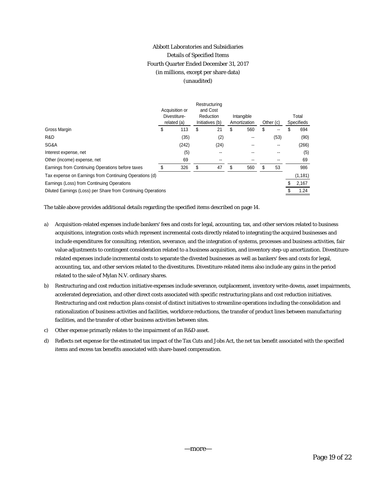# Abbott Laboratories and Subsidiaries Details of Specified Items Fourth Quarter Ended December 31, 2017 (in millions, except per share data) (unaudited)

|                                                              | Acquisition or<br>Divestiture-<br>related (a) |    | Restructuring<br>and Cost<br>Reduction<br>Initiatives (b) |    | Intangible<br>Amortization |    | Other (c) | Total<br><b>Specifieds</b> |          |  |
|--------------------------------------------------------------|-----------------------------------------------|----|-----------------------------------------------------------|----|----------------------------|----|-----------|----------------------------|----------|--|
| Gross Margin                                                 | \$<br>113                                     | S  | 21                                                        | \$ | 560                        | \$ | --        |                            | 694      |  |
| R&D                                                          | (35)                                          |    | (2)                                                       |    |                            |    | (53)      |                            | (90)     |  |
| SG&A                                                         | (242)                                         |    | (24)                                                      |    |                            |    |           |                            | (266)    |  |
| Interest expense, net                                        | (5)                                           |    |                                                           |    |                            |    |           |                            | (5)      |  |
| Other (income) expense, net                                  | 69                                            |    | $- -$                                                     |    |                            |    |           |                            | 69       |  |
| Earnings from Continuing Operations before taxes             | 326                                           | \$ | 47                                                        | S  | 560                        | S  | 53        |                            | 986      |  |
| Tax expense on Earnings from Continuing Operations (d)       |                                               |    |                                                           |    |                            |    |           |                            | (1, 181) |  |
| Earnings (Loss) from Continuing Operations                   |                                               |    |                                                           |    |                            |    |           |                            | 2,167    |  |
| Diluted Earnings (Loss) per Share from Continuing Operations |                                               |    |                                                           |    |                            |    |           |                            | 1.24     |  |

The table above provides additional details regarding the specified items described on page 14.

- a) Acquisition-related expenses include bankers' fees and costs for legal, accounting, tax, and other services related to business acquisitions, integration costs which represent incremental costs directly related to integrating the acquired businesses and include expenditures for consulting, retention, severance, and the integration of systems, processes and business activities, fair value adjustments to contingent consideration related to a business acquisition, and inventory step-up amortization. Divestiturerelated expenses include incremental costs to separate the divested businesses as well as bankers' fees and costs for legal, accounting, tax, and other services related to the divestitures. Divestiture-related items also include any gains in the period related to the sale of Mylan N.V. ordinary shares.
- b) Restructuring and cost reduction initiative expenses include severance, outplacement, inventory write-downs, asset impairments, accelerated depreciation, and other direct costs associated with specific restructuring plans and cost reduction initiatives. Restructuring and cost reduction plans consist of distinct initiatives to streamline operations including the consolidation and rationalization of business activities and facilities, workforce reductions, the transfer of product lines between manufacturing facilities, and the transfer of other business activities between sites.
- c) Other expense primarily relates to the impairment of an R&D asset.
- d) Reflects net expense for the estimated tax impact of the Tax Cuts and Jobs Act, the net tax benefit associated with the specified items and excess tax benefits associated with share-based compensation.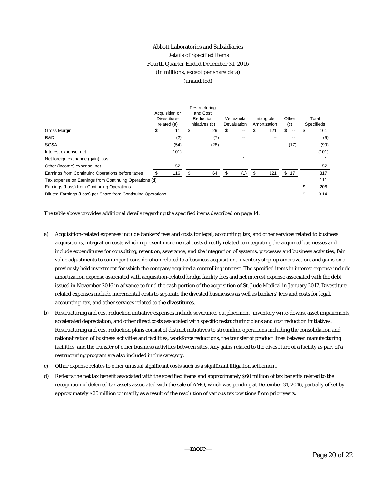# Abbott Laboratories and Subsidiaries Details of Specified Items Fourth Quarter Ended December 31, 2016 (in millions, except per share data) (unaudited)

|                                                              | Acquisition or<br>Divestiture-<br>related (a) |       | Restructuring<br>and Cost<br>Reduction<br>Initiatives (b) | Venezuela<br>Devaluation |    | Intangible<br>Amortization |                          | Other<br>(c) |                          | Total<br><b>Specifieds</b> |
|--------------------------------------------------------------|-----------------------------------------------|-------|-----------------------------------------------------------|--------------------------|----|----------------------------|--------------------------|--------------|--------------------------|----------------------------|
| Gross Margin                                                 | 11<br>\$                                      |       | \$<br>29                                                  | \$                       | -- |                            | 121                      | \$           | $\overline{\phantom{a}}$ | \$<br>161                  |
| R&D                                                          |                                               | (2)   | (7)                                                       |                          | -- |                            |                          |              |                          | (9)                        |
| SG&A                                                         |                                               | (54)  | (28)                                                      |                          | -- |                            | $\overline{\phantom{m}}$ |              | (17)                     | (99)                       |
| Interest expense, net                                        |                                               | (101) |                                                           |                          |    |                            |                          |              |                          | (101)                      |
| Net foreign exchange (gain) loss                             |                                               | --    |                                                           |                          |    |                            | --                       |              |                          |                            |
| Other (income) expense, net                                  |                                               | 52    |                                                           |                          |    |                            |                          |              |                          | 52                         |
| Earnings from Continuing Operations before taxes             |                                               | 116   | \$<br>64                                                  |                          | (1 |                            | 121                      | \$.          | 17                       | 317                        |
| Tax expense on Earnings from Continuing Operations (d)       |                                               |       |                                                           |                          |    |                            |                          |              |                          | 111                        |
| Earnings (Loss) from Continuing Operations                   |                                               |       |                                                           |                          |    |                            |                          |              |                          | 206                        |
| Diluted Earnings (Loss) per Share from Continuing Operations |                                               |       |                                                           |                          |    |                            |                          |              |                          | 0.14                       |

The table above provides additional details regarding the specified items described on page 14.

- a) Acquisition-related expenses include bankers' fees and costs for legal, accounting, tax, and other services related to business acquisitions, integration costs which represent incremental costs directly related to integrating the acquired businesses and include expenditures for consulting, retention, severance, and the integration of systems, processes and business activities, fair value adjustments to contingent consideration related to a business acquisition, inventory step-up amortization, and gains on a previously held investment for which the company acquired a controlling interest. The specified items in interest expense include amortization expense associated with acquisition-related bridge facility fees and net interest expense associated with the debt issued in November 2016 in advance to fund the cash portion of the acquisition of St. Jude Medical in January 2017. Divestiturerelated expenses include incremental costs to separate the divested businesses as well as bankers' fees and costs for legal, accounting, tax, and other services related to the divestitures.
- b) Restructuring and cost reduction initiative expenses include severance, outplacement, inventory write-downs, asset impairments, accelerated depreciation, and other direct costs associated with specific restructuring plans and cost reduction initiatives. Restructuring and cost reduction plans consist of distinct initiatives to streamline operations including the consolidation and rationalization of business activities and facilities, workforce reductions, the transfer of product lines between manufacturing facilities, and the transfer of other business activities between sites. Any gains related to the divestiture of a facility as part of a restructuring program are also included in this category.
- c) Other expense relates to other unusual significant costs such as a significant litigation settlement.
- d) Reflects the net tax benefit associated with the specified items and approximately \$60 million of tax benefits related to the recognition of deferred tax assets associated with the sale of AMO, which was pending at December 31, 2016, partially offset by approximately \$25 million primarily as a result of the resolution of various tax positions from prior years.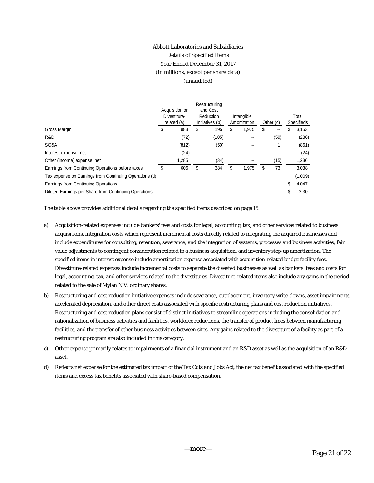# Abbott Laboratories and Subsidiaries Details of Specified Items Year Ended December 31, 2017 (in millions, except per share data) (unaudited)

|                                                        |   | Acquisition or<br>Divestiture-<br>related (a) |    | Restructuring<br>and Cost<br>Reduction<br>Initiatives (b) |    | Intangible<br>Amortization |    | Other (c) | Total<br>Specifieds |         |  |
|--------------------------------------------------------|---|-----------------------------------------------|----|-----------------------------------------------------------|----|----------------------------|----|-----------|---------------------|---------|--|
| Gross Margin                                           | Φ | 983                                           | \$ | 195                                                       | \$ | 1,975                      | \$ | --        | S                   | 3,153   |  |
| R&D                                                    |   | (72)                                          |    | (105)                                                     |    |                            |    | (59)      |                     | (236)   |  |
| SG&A                                                   |   | (812)                                         |    | (50)                                                      |    | --                         |    |           |                     | (861)   |  |
| Interest expense, net                                  |   | (24)                                          |    |                                                           |    |                            |    |           |                     | (24)    |  |
| Other (income) expense, net                            |   | 1,285                                         |    | (34)                                                      |    |                            |    | (15)      |                     | 1,236   |  |
| Earnings from Continuing Operations before taxes       |   | 606                                           | S  | 384                                                       | S  | 1,975                      | S  | 73        |                     | 3,038   |  |
| Tax expense on Earnings from Continuing Operations (d) |   |                                               |    |                                                           |    |                            |    |           |                     | (1,009) |  |
| Earnings from Continuing Operations                    |   |                                               |    |                                                           |    |                            |    |           |                     | 4,047   |  |
| Diluted Earnings per Share from Continuing Operations  |   |                                               |    |                                                           |    |                            |    |           |                     | 2.30    |  |

The table above provides additional details regarding the specified items described on page 15.

- a) Acquisition-related expenses include bankers' fees and costs for legal, accounting, tax, and other services related to business acquisitions, integration costs which represent incremental costs directly related to integrating the acquired businesses and include expenditures for consulting, retention, severance, and the integration of systems, processes and business activities, fair value adjustments to contingent consideration related to a business acquisition, and inventory step-up amortization. The specified items in interest expense include amortization expense associated with acquisition-related bridge facility fees. Divestiture-related expenses include incremental costs to separate the divested businesses as well as bankers' fees and costs for legal, accounting, tax, and other services related to the divestitures. Divestiture-related items also include any gains in the period related to the sale of Mylan N.V. ordinary shares.
- b) Restructuring and cost reduction initiative expenses include severance, outplacement, inventory write-downs, asset impairments, accelerated depreciation, and other direct costs associated with specific restructuring plans and cost reduction initiatives. Restructuring and cost reduction plans consist of distinct initiatives to streamline operations including the consolidation and rationalization of business activities and facilities, workforce reductions, the transfer of product lines between manufacturing facilities, and the transfer of other business activities between sites. Any gains related to the divestiture of a facility as part of a restructuring program are also included in this category.
- c) Other expense primarily relates to impairments of a financial instrument and an R&D asset as well as the acquisition of an R&D asset.
- d) Reflects net expense for the estimated tax impact of the Tax Cuts and Jobs Act, the net tax benefit associated with the specified items and excess tax benefits associated with share-based compensation.